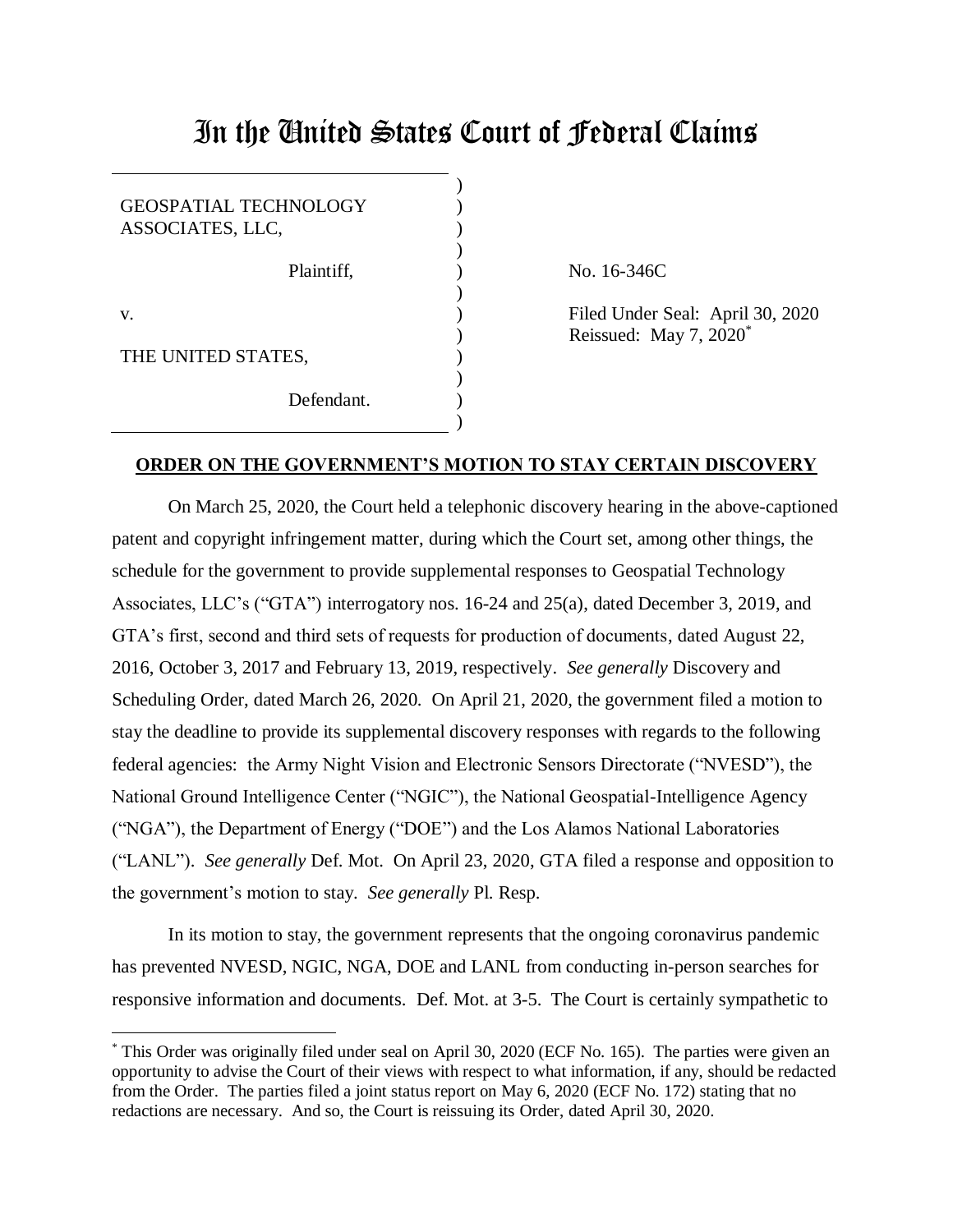## In the United States Court of Federal Claims

| <b>GEOSPATIAL TECHNOLOGY</b><br>ASSOCIATES, LLC, |  |
|--------------------------------------------------|--|
| Plaintiff,                                       |  |
| V.                                               |  |
| THE UNITED STATES,                               |  |
| Defendant                                        |  |

 $\overline{a}$ 

No. 16-346C

Filed Under Seal: April 30, 2020 Reissued: May 7, 2020\*

## **ORDER ON THE GOVERNMENT'S MOTION TO STAY CERTAIN DISCOVERY**

On March 25, 2020, the Court held a telephonic discovery hearing in the above-captioned patent and copyright infringement matter, during which the Court set, among other things, the schedule for the government to provide supplemental responses to Geospatial Technology Associates, LLC's ("GTA") interrogatory nos. 16-24 and 25(a), dated December 3, 2019, and GTA's first, second and third sets of requests for production of documents, dated August 22, 2016, October 3, 2017 and February 13, 2019, respectively. *See generally* Discovery and Scheduling Order, dated March 26, 2020. On April 21, 2020, the government filed a motion to stay the deadline to provide its supplemental discovery responses with regards to the following federal agencies: the Army Night Vision and Electronic Sensors Directorate ("NVESD"), the National Ground Intelligence Center ("NGIC"), the National Geospatial-Intelligence Agency ("NGA"), the Department of Energy ("DOE") and the Los Alamos National Laboratories ("LANL"). *See generally* Def. Mot. On April 23, 2020, GTA filed a response and opposition to the government's motion to stay. *See generally* Pl. Resp.

In its motion to stay, the government represents that the ongoing coronavirus pandemic has prevented NVESD, NGIC, NGA, DOE and LANL from conducting in-person searches for responsive information and documents. Def. Mot. at 3-5. The Court is certainly sympathetic to

<sup>\*</sup> This Order was originally filed under seal on April 30, 2020 (ECF No. 165). The parties were given an opportunity to advise the Court of their views with respect to what information, if any, should be redacted from the Order. The parties filed a joint status report on May 6, 2020 (ECF No. 172) stating that no redactions are necessary. And so, the Court is reissuing its Order, dated April 30, 2020.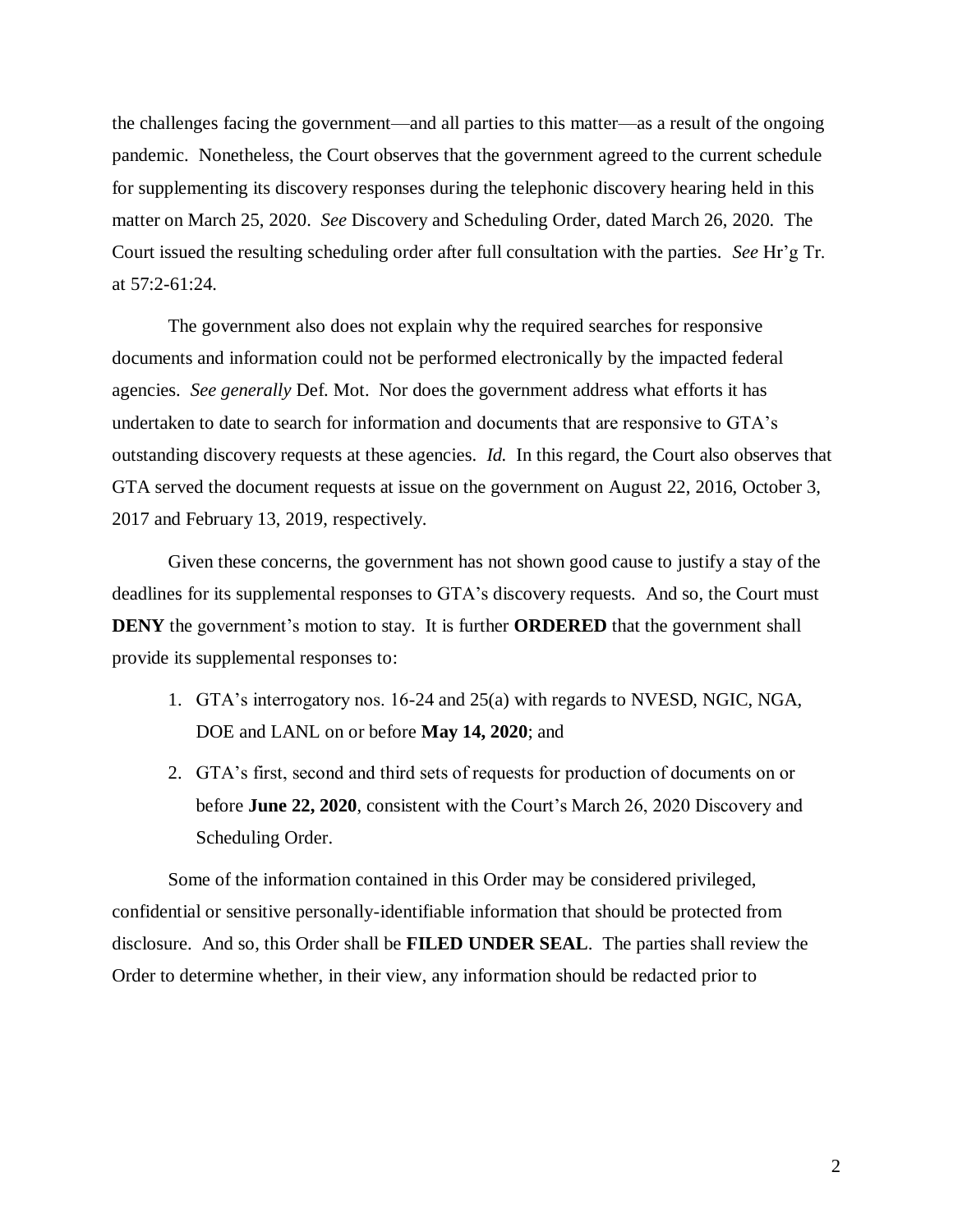the challenges facing the government—and all parties to this matter—as a result of the ongoing pandemic. Nonetheless, the Court observes that the government agreed to the current schedule for supplementing its discovery responses during the telephonic discovery hearing held in this matter on March 25, 2020. *See* Discovery and Scheduling Order, dated March 26, 2020. The Court issued the resulting scheduling order after full consultation with the parties. *See* Hr'g Tr. at 57:2-61:24.

The government also does not explain why the required searches for responsive documents and information could not be performed electronically by the impacted federal agencies. *See generally* Def. Mot. Nor does the government address what efforts it has undertaken to date to search for information and documents that are responsive to GTA's outstanding discovery requests at these agencies. *Id.* In this regard, the Court also observes that GTA served the document requests at issue on the government on August 22, 2016, October 3, 2017 and February 13, 2019, respectively.

Given these concerns, the government has not shown good cause to justify a stay of the deadlines for its supplemental responses to GTA's discovery requests. And so, the Court must **DENY** the government's motion to stay. It is further **ORDERED** that the government shall provide its supplemental responses to:

- 1. GTA's interrogatory nos. 16-24 and 25(a) with regards to NVESD, NGIC, NGA, DOE and LANL on or before **May 14, 2020**; and
- 2. GTA's first, second and third sets of requests for production of documents on or before **June 22, 2020**, consistent with the Court's March 26, 2020 Discovery and Scheduling Order.

Some of the information contained in this Order may be considered privileged, confidential or sensitive personally-identifiable information that should be protected from disclosure. And so, this Order shall be **FILED UNDER SEAL**. The parties shall review the Order to determine whether, in their view, any information should be redacted prior to